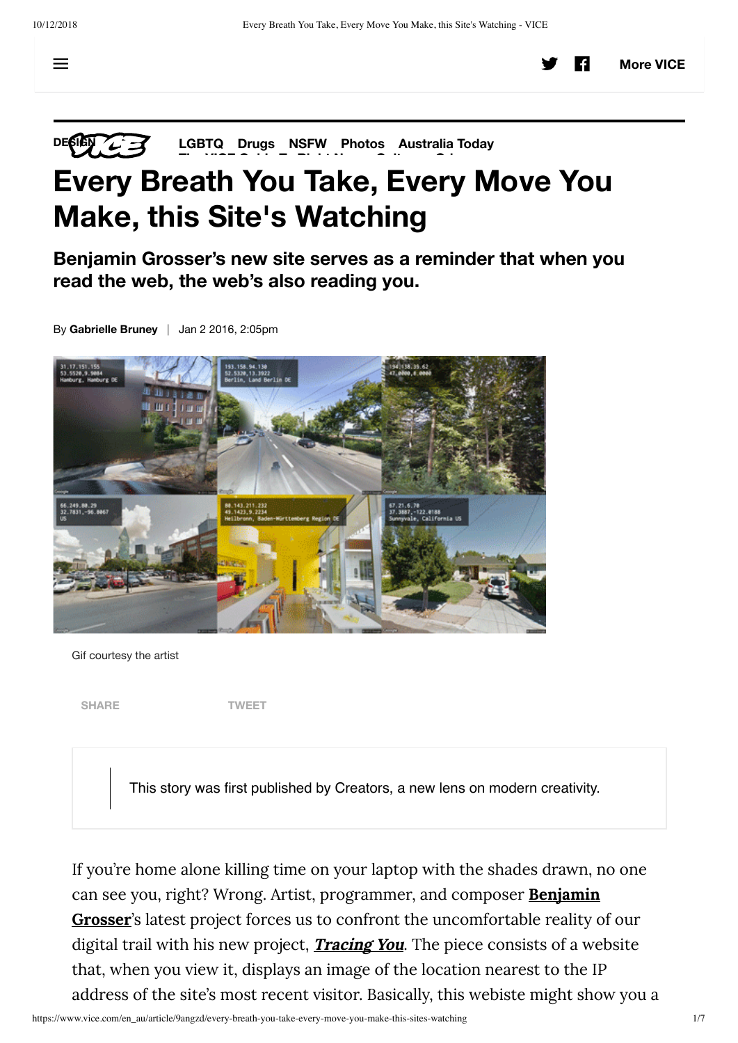**DESIGN 23 LGBTQ Drugs NSFW Photos Australia Today Th VICE G id T Ri ht N C lt C i**

## **Every Breath You Take, Every Move You Make, this Site's Watching**

**Benjamin Grosser's new site serves as a reminder that when you read the web, the web's also reading you.**

By **Gabrielle Bruney** | Jan 2 2016, 2:05pm



Gif courtesy the artist

**SHARE TWEET**

This story was first published by Creators, a new lens on modern creativity.

If you're home alone killing time on your laptop with the shades drawn, no one can see you, right? Wrong. Artist, programmer, and composer **Benjamin Grosser**'s latest project forces us to confront the uncomfortable reality of our digital trail with his new project, **Tracing You**. The piece consists of a website that, when you view it, displays an image of the location nearest to the IP address of the site's most recent visitor. Basically, this webiste might show you a